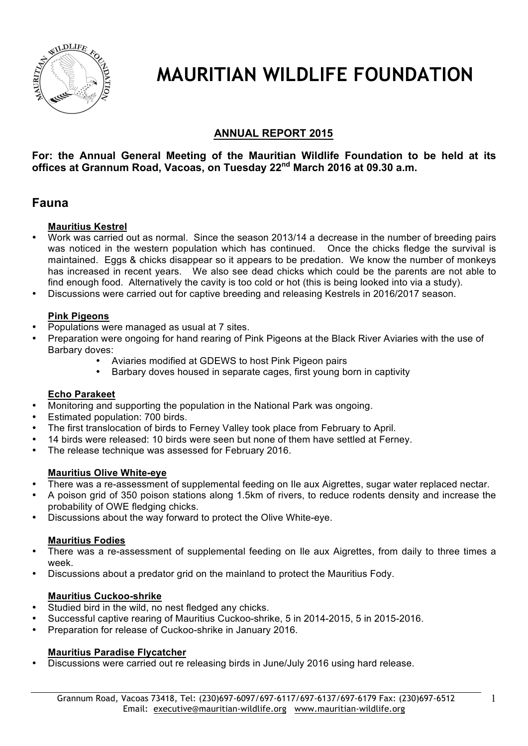

# **MAURITIAN WILDLIFE FOUNDATION**

# **ANNUAL REPORT 2015**

## **For: the Annual General Meeting of the Mauritian Wildlife Foundation to be held at its offices at Grannum Road, Vacoas, on Tuesday 22nd March 2016 at 09.30 a.m.**

# **Fauna**

## **Mauritius Kestrel**

- Work was carried out as normal. Since the season 2013/14 a decrease in the number of breeding pairs was noticed in the western population which has continued. Once the chicks fledge the survival is maintained. Eggs & chicks disappear so it appears to be predation. We know the number of monkeys has increased in recent years. We also see dead chicks which could be the parents are not able to find enough food. Alternatively the cavity is too cold or hot (this is being looked into via a study).
- Discussions were carried out for captive breeding and releasing Kestrels in 2016/2017 season.

## **Pink Pigeons**

- Populations were managed as usual at 7 sites.
- Preparation were ongoing for hand rearing of Pink Pigeons at the Black River Aviaries with the use of Barbary doves:
	- Aviaries modified at GDEWS to host Pink Pigeon pairs
	- Barbary doves housed in separate cages, first young born in captivity

#### **Echo Parakeet**

- Monitoring and supporting the population in the National Park was ongoing.
- Estimated population: 700 birds.
- The first translocation of birds to Ferney Valley took place from February to April.
- 14 birds were released: 10 birds were seen but none of them have settled at Ferney.
- The release technique was assessed for February 2016.

#### **Mauritius Olive White-eye**

- There was a re-assessment of supplemental feeding on Ile aux Aigrettes, sugar water replaced nectar.
- A poison grid of 350 poison stations along 1.5km of rivers, to reduce rodents density and increase the probability of OWE fledging chicks.
- Discussions about the way forward to protect the Olive White-eye.

#### **Mauritius Fodies**

- There was a re-assessment of supplemental feeding on Ile aux Aigrettes, from daily to three times a week.
- Discussions about a predator grid on the mainland to protect the Mauritius Fody.

#### **Mauritius Cuckoo-shrike**

- Studied bird in the wild, no nest fledged any chicks.
- Successful captive rearing of Mauritius Cuckoo-shrike, 5 in 2014-2015, 5 in 2015-2016.
- Preparation for release of Cuckoo-shrike in January 2016.

# **Mauritius Paradise Flycatcher**

• Discussions were carried out re releasing birds in June/July 2016 using hard release.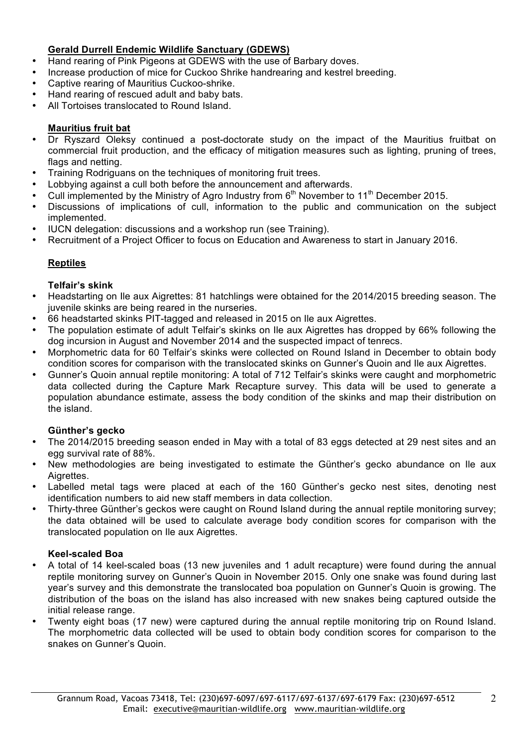## **Gerald Durrell Endemic Wildlife Sanctuary (GDEWS)**

- Hand rearing of Pink Pigeons at GDEWS with the use of Barbary doves.
- Increase production of mice for Cuckoo Shrike handrearing and kestrel breeding.
- Captive rearing of Mauritius Cuckoo-shrike.
- Hand rearing of rescued adult and baby bats.
- All Tortoises translocated to Round Island.

#### **Mauritius fruit bat**

- Dr Ryszard Oleksy continued a post-doctorate study on the impact of the Mauritius fruitbat on commercial fruit production, and the efficacy of mitigation measures such as lighting, pruning of trees, flags and netting.
- Training Rodriguans on the techniques of monitoring fruit trees.
- Lobbying against a cull both before the announcement and afterwards.
- Cull implemented by the Ministry of Agro Industry from  $6<sup>th</sup>$  November to 11<sup>th</sup> December 2015.
- Discussions of implications of cull, information to the public and communication on the subject implemented.
- IUCN delegation: discussions and a workshop run (see Training).
- Recruitment of a Project Officer to focus on Education and Awareness to start in January 2016.

#### **Reptiles**

#### **Telfair's skink**

- Headstarting on Ile aux Aigrettes: 81 hatchlings were obtained for the 2014/2015 breeding season. The juvenile skinks are being reared in the nurseries.
- 66 headstarted skinks PIT-tagged and released in 2015 on Ile aux Aigrettes.
- The population estimate of adult Telfair's skinks on Ile aux Aigrettes has dropped by 66% following the dog incursion in August and November 2014 and the suspected impact of tenrecs.
- Morphometric data for 60 Telfair's skinks were collected on Round Island in December to obtain body condition scores for comparison with the translocated skinks on Gunner's Quoin and Ile aux Aigrettes.
- Gunner's Quoin annual reptile monitoring: A total of 712 Telfair's skinks were caught and morphometric data collected during the Capture Mark Recapture survey. This data will be used to generate a population abundance estimate, assess the body condition of the skinks and map their distribution on the island.

#### **Günther's gecko**

- The 2014/2015 breeding season ended in May with a total of 83 eggs detected at 29 nest sites and an egg survival rate of 88%.
- New methodologies are being investigated to estimate the Günther's gecko abundance on Ile aux Aigrettes.
- Labelled metal tags were placed at each of the 160 Günther's gecko nest sites, denoting nest identification numbers to aid new staff members in data collection.
- Thirty-three Günther's geckos were caught on Round Island during the annual reptile monitoring survey; the data obtained will be used to calculate average body condition scores for comparison with the translocated population on Ile aux Aigrettes.

#### **Keel-scaled Boa**

- A total of 14 keel-scaled boas (13 new juveniles and 1 adult recapture) were found during the annual reptile monitoring survey on Gunner's Quoin in November 2015. Only one snake was found during last year's survey and this demonstrate the translocated boa population on Gunner's Quoin is growing. The distribution of the boas on the island has also increased with new snakes being captured outside the initial release range.
- Twenty eight boas (17 new) were captured during the annual reptile monitoring trip on Round Island. The morphometric data collected will be used to obtain body condition scores for comparison to the snakes on Gunner's Quoin.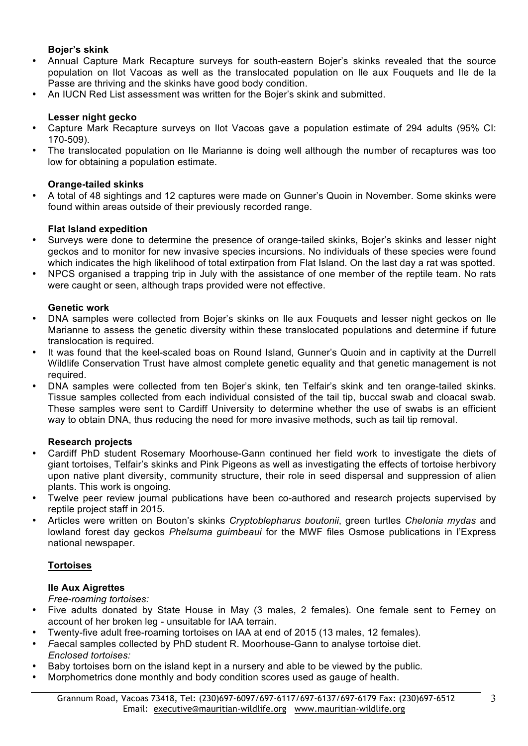## **Bojer's skink**

- Annual Capture Mark Recapture surveys for south-eastern Bojer's skinks revealed that the source population on Ilot Vacoas as well as the translocated population on Ile aux Fouquets and Ile de la Passe are thriving and the skinks have good body condition.
- An IUCN Red List assessment was written for the Bojer's skink and submitted.

## **Lesser night gecko**

- Capture Mark Recapture surveys on Ilot Vacoas gave a population estimate of 294 adults (95% CI: 170-509).
- The translocated population on Ile Marianne is doing well although the number of recaptures was too low for obtaining a population estimate.

#### **Orange-tailed skinks**

• A total of 48 sightings and 12 captures were made on Gunner's Quoin in November. Some skinks were found within areas outside of their previously recorded range.

#### **Flat Island expedition**

- Surveys were done to determine the presence of orange-tailed skinks, Bojer's skinks and lesser night geckos and to monitor for new invasive species incursions. No individuals of these species were found which indicates the high likelihood of total extirpation from Flat Island. On the last day a rat was spotted.
- NPCS organised a trapping trip in July with the assistance of one member of the reptile team. No rats were caught or seen, although traps provided were not effective.

#### **Genetic work**

- DNA samples were collected from Bojer's skinks on Ile aux Fouquets and lesser night geckos on Ile Marianne to assess the genetic diversity within these translocated populations and determine if future translocation is required.
- It was found that the keel-scaled boas on Round Island, Gunner's Quoin and in captivity at the Durrell Wildlife Conservation Trust have almost complete genetic equality and that genetic management is not required.
- DNA samples were collected from ten Bojer's skink, ten Telfair's skink and ten orange-tailed skinks. Tissue samples collected from each individual consisted of the tail tip, buccal swab and cloacal swab. These samples were sent to Cardiff University to determine whether the use of swabs is an efficient way to obtain DNA, thus reducing the need for more invasive methods, such as tail tip removal.

#### **Research projects**

- Cardiff PhD student Rosemary Moorhouse-Gann continued her field work to investigate the diets of giant tortoises, Telfair's skinks and Pink Pigeons as well as investigating the effects of tortoise herbivory upon native plant diversity, community structure, their role in seed dispersal and suppression of alien plants. This work is ongoing.
- Twelve peer review journal publications have been co-authored and research projects supervised by reptile project staff in 2015.
- Articles were written on Bouton's skinks *Cryptoblepharus boutonii*, green turtles *Chelonia mydas* and lowland forest day geckos *Phelsuma guimbeaui* for the MWF files Osmose publications in l'Express national newspaper.

## **Tortoises**

#### **Ile Aux Aigrettes**

*Free-roaming tortoises:*

- Five adults donated by State House in May (3 males, 2 females). One female sent to Ferney on account of her broken leg - unsuitable for IAA terrain.
- Twenty-five adult free-roaming tortoises on IAA at end of 2015 (13 males, 12 females).
- *F*aecal samples collected by PhD student R. Moorhouse-Gann to analyse tortoise diet. *Enclosed tortoises:*
- Baby tortoises born on the island kept in a nursery and able to be viewed by the public.
- Morphometrics done monthly and body condition scores used as gauge of health.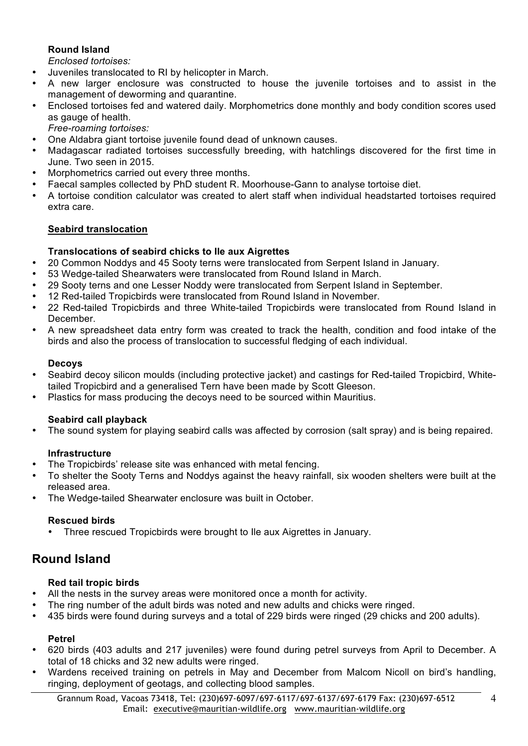# **Round Island**

*Enclosed tortoises:*

- Juveniles translocated to RI by helicopter in March.
- A new larger enclosure was constructed to house the juvenile tortoises and to assist in the management of deworming and quarantine.
- Enclosed tortoises fed and watered daily. Morphometrics done monthly and body condition scores used as gauge of health.

*Free-roaming tortoises:*

- One Aldabra giant tortoise juvenile found dead of unknown causes.
- Madagascar radiated tortoises successfully breeding, with hatchlings discovered for the first time in June. Two seen in 2015.
- Morphometrics carried out every three months.
- Faecal samples collected by PhD student R. Moorhouse-Gann to analyse tortoise diet.
- A tortoise condition calculator was created to alert staff when individual headstarted tortoises required extra care.

#### **Seabird translocation**

#### **Translocations of seabird chicks to Ile aux Aigrettes**

- 20 Common Noddys and 45 Sooty terns were translocated from Serpent Island in January.
- 53 Wedge-tailed Shearwaters were translocated from Round Island in March.
- 29 Sooty terns and one Lesser Noddy were translocated from Serpent Island in September.
- 12 Red-tailed Tropicbirds were translocated from Round Island in November.
- 22 Red-tailed Tropicbirds and three White-tailed Tropicbirds were translocated from Round Island in December.
- A new spreadsheet data entry form was created to track the health, condition and food intake of the birds and also the process of translocation to successful fledging of each individual.

#### **Decoys**

- Seabird decoy silicon moulds (including protective jacket) and castings for Red-tailed Tropicbird, Whitetailed Tropicbird and a generalised Tern have been made by Scott Gleeson.
- Plastics for mass producing the decoys need to be sourced within Mauritius.

#### **Seabird call playback**

The sound system for playing seabird calls was affected by corrosion (salt spray) and is being repaired.

#### **Infrastructure**

- The Tropicbirds' release site was enhanced with metal fencing.
- To shelter the Sooty Terns and Noddys against the heavy rainfall, six wooden shelters were built at the released area.
- The Wedge-tailed Shearwater enclosure was built in October.

#### **Rescued birds**

• Three rescued Tropicbirds were brought to Ile aux Aigrettes in January.

# **Round Island**

#### **Red tail tropic birds**

- All the nests in the survey areas were monitored once a month for activity.
- The ring number of the adult birds was noted and new adults and chicks were ringed.
- 435 birds were found during surveys and a total of 229 birds were ringed (29 chicks and 200 adults).

#### **Petrel**

- 620 birds (403 adults and 217 juveniles) were found during petrel surveys from April to December. A total of 18 chicks and 32 new adults were ringed.
- Wardens received training on petrels in May and December from Malcom Nicoll on bird's handling, ringing, deployment of geotags, and collecting blood samples.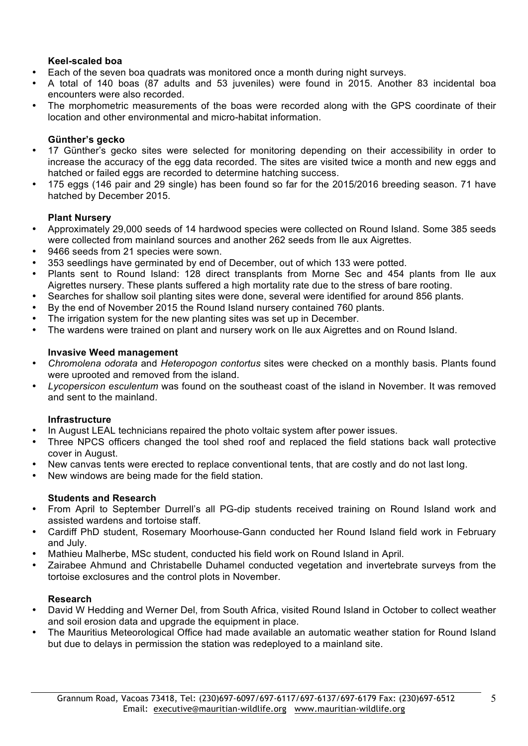#### **Keel-scaled boa**

- Each of the seven boa quadrats was monitored once a month during night surveys.
- A total of 140 boas (87 adults and 53 juveniles) were found in 2015. Another 83 incidental boa encounters were also recorded.
- The morphometric measurements of the boas were recorded along with the GPS coordinate of their location and other environmental and micro-habitat information.

#### **Günther's gecko**

- 17 Günther's gecko sites were selected for monitoring depending on their accessibility in order to increase the accuracy of the egg data recorded. The sites are visited twice a month and new eggs and hatched or failed eggs are recorded to determine hatching success.
- 175 eggs (146 pair and 29 single) has been found so far for the 2015/2016 breeding season. 71 have hatched by December 2015.

#### **Plant Nursery**

- Approximately 29,000 seeds of 14 hardwood species were collected on Round Island. Some 385 seeds were collected from mainland sources and another 262 seeds from Ile aux Aigrettes.
- 9466 seeds from 21 species were sown.
- 353 seedlings have germinated by end of December, out of which 133 were potted.
- Plants sent to Round Island: 128 direct transplants from Morne Sec and 454 plants from Ile aux Aigrettes nursery. These plants suffered a high mortality rate due to the stress of bare rooting.
- Searches for shallow soil planting sites were done, several were identified for around 856 plants.
- By the end of November 2015 the Round Island nursery contained 760 plants.
- The irrigation system for the new planting sites was set up in December.
- The wardens were trained on plant and nursery work on Ile aux Aigrettes and on Round Island.

#### **Invasive Weed management**

- *Chromolena odorata* and *Heteropogon contortus* sites were checked on a monthly basis. Plants found were uprooted and removed from the island.
- *Lycopersicon esculentum* was found on the southeast coast of the island in November. It was removed and sent to the mainland.

#### **Infrastructure**

- In August LEAL technicians repaired the photo voltaic system after power issues.
- Three NPCS officers changed the tool shed roof and replaced the field stations back wall protective cover in August.
- New canvas tents were erected to replace conventional tents, that are costly and do not last long.
- New windows are being made for the field station.

#### **Students and Research**

- From April to September Durrell's all PG-dip students received training on Round Island work and assisted wardens and tortoise staff.
- Cardiff PhD student, Rosemary Moorhouse-Gann conducted her Round Island field work in February and July.
- Mathieu Malherbe, MSc student, conducted his field work on Round Island in April.
- Zairabee Ahmund and Christabelle Duhamel conducted vegetation and invertebrate surveys from the tortoise exclosures and the control plots in November.

#### **Research**

- David W Hedding and Werner Del, from South Africa, visited Round Island in October to collect weather and soil erosion data and upgrade the equipment in place.
- The Mauritius Meteorological Office had made available an automatic weather station for Round Island but due to delays in permission the station was redeployed to a mainland site.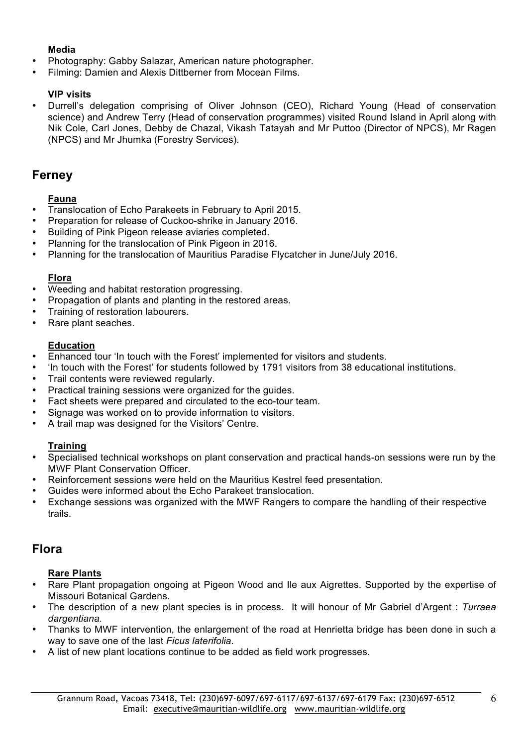#### **Media**

- Photography: Gabby Salazar, American nature photographer.
- Filming: Damien and Alexis Dittberner from Mocean Films.

## **VIP visits**

• Durrell's delegation comprising of Oliver Johnson (CEO), Richard Young (Head of conservation science) and Andrew Terry (Head of conservation programmes) visited Round Island in April along with Nik Cole, Carl Jones, Debby de Chazal, Vikash Tatayah and Mr Puttoo (Director of NPCS), Mr Ragen (NPCS) and Mr Jhumka (Forestry Services).

# **Ferney**

## **Fauna**

- Translocation of Echo Parakeets in February to April 2015.
- Preparation for release of Cuckoo-shrike in January 2016.
- Building of Pink Pigeon release aviaries completed.
- Planning for the translocation of Pink Pigeon in 2016.
- Planning for the translocation of Mauritius Paradise Flycatcher in June/July 2016.

## **Flora**

- Weeding and habitat restoration progressing.
- Propagation of plants and planting in the restored areas.
- Training of restoration labourers.
- Rare plant seaches.

#### **Education**

- Enhanced tour 'In touch with the Forest' implemented for visitors and students.
- 'In touch with the Forest' for students followed by 1791 visitors from 38 educational institutions.
- Trail contents were reviewed regularly.
- Practical training sessions were organized for the guides.
- Fact sheets were prepared and circulated to the eco-tour team.
- Signage was worked on to provide information to visitors.
- A trail map was designed for the Visitors' Centre.

#### **Training**

- Specialised technical workshops on plant conservation and practical hands-on sessions were run by the MWF Plant Conservation Officer.
- Reinforcement sessions were held on the Mauritius Kestrel feed presentation.
- Guides were informed about the Echo Parakeet translocation.
- Exchange sessions was organized with the MWF Rangers to compare the handling of their respective trails.

# **Flora**

#### **Rare Plants**

- Rare Plant propagation ongoing at Pigeon Wood and Ile aux Aigrettes. Supported by the expertise of Missouri Botanical Gardens.
- The description of a new plant species is in process. It will honour of Mr Gabriel d'Argent : *Turraea dargentiana.*
- Thanks to MWF intervention, the enlargement of the road at Henrietta bridge has been done in such a way to save one of the last *Ficus laterifolia*.
- A list of new plant locations continue to be added as field work progresses.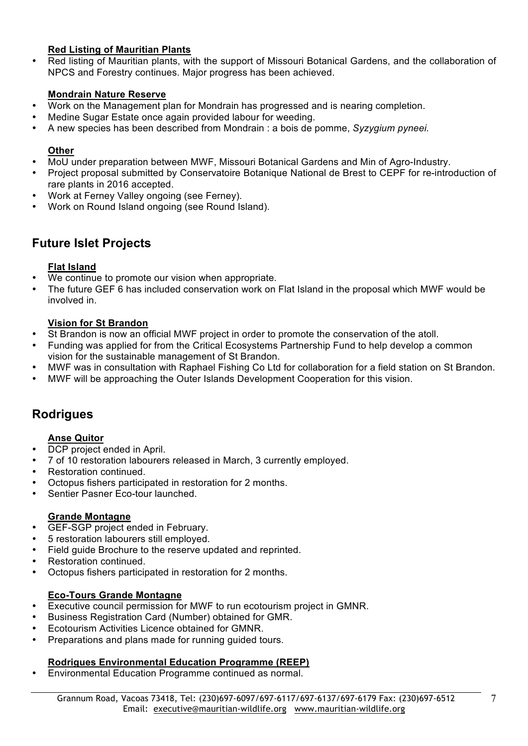#### **Red Listing of Mauritian Plants**

• Red listing of Mauritian plants, with the support of Missouri Botanical Gardens, and the collaboration of NPCS and Forestry continues. Major progress has been achieved.

## **Mondrain Nature Reserve**

- Work on the Management plan for Mondrain has progressed and is nearing completion.
- Medine Sugar Estate once again provided labour for weeding.
- A new species has been described from Mondrain : a bois de pomme, *Syzygium pyneei.*

## **Other**

- MoU under preparation between MWF, Missouri Botanical Gardens and Min of Agro-Industry.
- Project proposal submitted by Conservatoire Botanique National de Brest to CEPF for re-introduction of rare plants in 2016 accepted.
- Work at Ferney Valley ongoing (see Ferney).
- Work on Round Island ongoing (see Round Island).

# **Future Islet Projects**

#### **Flat Island**

- We continue to promote our vision when appropriate.
- The future GEF 6 has included conservation work on Flat Island in the proposal which MWF would be involved in.

## **Vision for St Brandon**

- St Brandon is now an official MWF project in order to promote the conservation of the atoll.
- Funding was applied for from the Critical Ecosystems Partnership Fund to help develop a common vision for the sustainable management of St Brandon.
- MWF was in consultation with Raphael Fishing Co Ltd for collaboration for a field station on St Brandon.
- MWF will be approaching the Outer Islands Development Cooperation for this vision.

# **Rodrigues**

#### **Anse Quitor**

- DCP project ended in April.
- 7 of 10 restoration labourers released in March, 3 currently employed.
- Restoration continued.
- Octopus fishers participated in restoration for 2 months.
- Sentier Pasner Eco-tour launched.

#### **Grande Montagne**

- GEF-SGP project ended in February.
- 5 restoration labourers still employed.
- Field guide Brochure to the reserve updated and reprinted.
- Restoration continued.
- Octopus fishers participated in restoration for 2 months.

#### **Eco-Tours Grande Montagne**

- Executive council permission for MWF to run ecotourism project in GMNR.
- Business Registration Card (Number) obtained for GMR.
- Ecotourism Activities Licence obtained for GMNR.
- Preparations and plans made for running guided tours.

#### **Rodrigues Environmental Education Programme (REEP)**

• Environmental Education Programme continued as normal.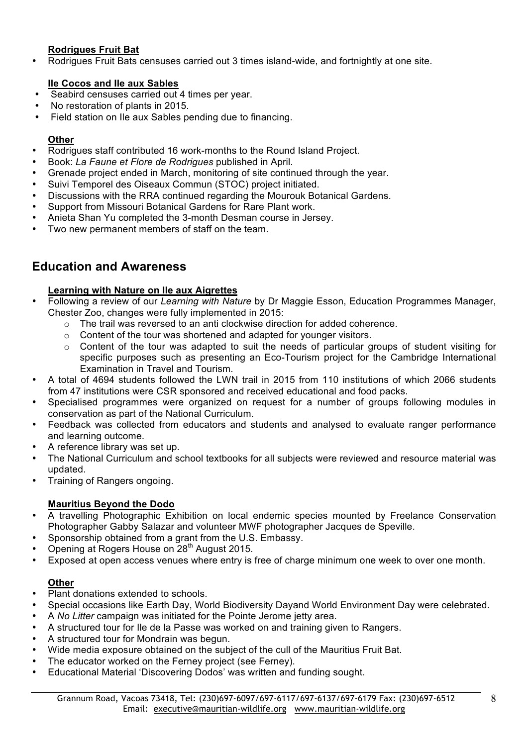## **Rodrigues Fruit Bat**

• Rodrigues Fruit Bats censuses carried out 3 times island-wide, and fortnightly at one site.

#### **Ile Cocos and Ile aux Sables**

- Seabird censuses carried out 4 times per year.
- No restoration of plants in 2015.
- Field station on Ile aux Sables pending due to financing.

# **Other**

- Rodrigues staff contributed 16 work-months to the Round Island Project.
- Book: *La Faune et Flore de Rodrigues* published in April.
- Grenade project ended in March, monitoring of site continued through the year.
- Suivi Temporel des Oiseaux Commun (STOC) project initiated.
- Discussions with the RRA continued regarding the Mourouk Botanical Gardens.
- Support from Missouri Botanical Gardens for Rare Plant work.
- Anieta Shan Yu completed the 3-month Desman course in Jersey.
- Two new permanent members of staff on the team.

# **Education and Awareness**

# **Learning with Nature on Ile aux Aigrettes**

- Following a review of our *Learning with Nature* by Dr Maggie Esson, Education Programmes Manager, Chester Zoo, changes were fully implemented in 2015:
	- o The trail was reversed to an anti clockwise direction for added coherence.
	- o Content of the tour was shortened and adapted for younger visitors.
	- $\circ$  Content of the tour was adapted to suit the needs of particular groups of student visiting for specific purposes such as presenting an Eco-Tourism project for the Cambridge International Examination in Travel and Tourism.
- A total of 4694 students followed the LWN trail in 2015 from 110 institutions of which 2066 students from 47 institutions were CSR sponsored and received educational and food packs.
- Specialised programmes were organized on request for a number of groups following modules in conservation as part of the National Curriculum.
- Feedback was collected from educators and students and analysed to evaluate ranger performance and learning outcome.
- A reference library was set up.
- The National Curriculum and school textbooks for all subjects were reviewed and resource material was updated.
- Training of Rangers ongoing.

# **Mauritius Beyond the Dodo**

- A travelling Photographic Exhibition on local endemic species mounted by Freelance Conservation Photographer Gabby Salazar and volunteer MWF photographer Jacques de Speville.
- Sponsorship obtained from a grant from the U.S. Embassy.
- Opening at Rogers House on 28th August 2015.
- Exposed at open access venues where entry is free of charge minimum one week to over one month.

# **Other**

- Plant donations extended to schools.
- Special occasions like Earth Day, World Biodiversity Dayand World Environment Day were celebrated.
- A *No Litter* campaign was initiated for the Pointe Jerome jetty area.
- A structured tour for Ile de la Passe was worked on and training given to Rangers.
- A structured tour for Mondrain was begun.
- Wide media exposure obtained on the subject of the cull of the Mauritius Fruit Bat.
- The educator worked on the Ferney project (see Ferney).
- Educational Material 'Discovering Dodos' was written and funding sought.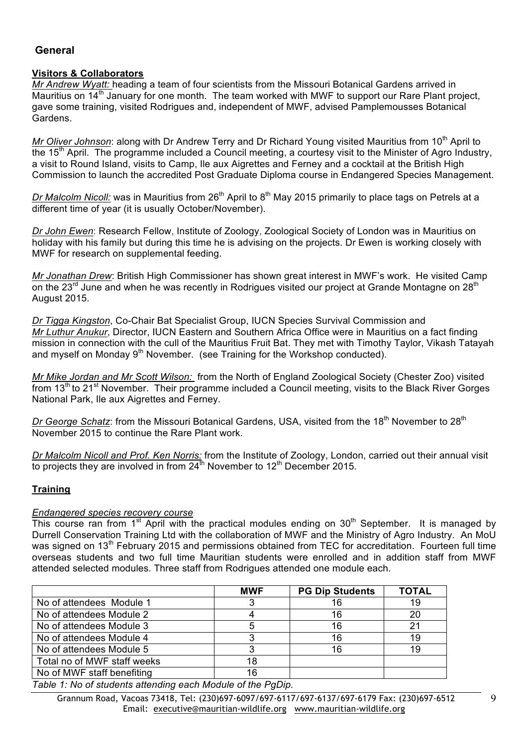## **General**

#### **Visitors & Collaborators**

*Mr Andrew Wyatt:* heading a team of four scientists from the Missouri Botanical Gardens arrived in Mauritius on 14<sup>th</sup> January for one month. The team worked with MWF to support our Rare Plant project, gave some training, visited Rodrigues and, independent of MWF, advised Pamplemousses Botanical Gardens.

*Mr Oliver Johnson*: along with Dr Andrew Terry and Dr Richard Young visited Mauritius from 10<sup>th</sup> April to the 15<sup>th</sup> April. The programme included a Council meeting, a courtesy visit to the Minister of Agro Industry, a visit to Round Island, visits to Camp, Ile aux Aigrettes and Ferney and a cocktail at the British High Commission to launch the accredited Post Graduate Diploma course in Endangered Species Management.

*Dr Malcolm Nicoll:* was in Mauritius from 26<sup>th</sup> April to 8<sup>th</sup> May 2015 primarily to place tags on Petrels at a different time of year (it is usually October/November).

*Dr John Ewen*: Research Fellow, Institute of Zoology, Zoological Society of London was in Mauritius on holiday with his family but during this time he is advising on the projects. Dr Ewen is working closely with MWF for research on supplemental feeding.

*Mr Jonathan Drew*: British High Commissioner has shown great interest in MWF's work. He visited Camp on the 23 $^{rd}$  June and when he was recently in Rodrigues visited our project at Grande Montagne on 28<sup>th</sup> August 2015.

*Dr Tigga Kingston*, Co-Chair Bat Specialist Group, IUCN Species Survival Commission and *Mr Luthur Anukur*, Director, IUCN Eastern and Southern Africa Office were in Mauritius on a fact finding mission in connection with the cull of the Mauritius Fruit Bat. They met with Timothy Taylor, Vikash Tatayah and myself on Monday  $9<sup>th</sup>$  November. (see Training for the Workshop conducted).

*Mr Mike Jordan and Mr Scott Wilson:* from the North of England Zoological Society (Chester Zoo) visited from  $13<sup>th</sup>$  to  $21<sup>st</sup>$  November. Their programme included a Council meeting, visits to the Black River Gorges National Park, Ile aux Aigrettes and Ferney.

*Dr George Schatz*: from the Missouri Botanical Gardens, USA, visited from the 18<sup>th</sup> November to 28<sup>th</sup> November 2015 to continue the Rare Plant work.

*Dr Malcolm Nicoll and Prof. Ken Norris:* from the Institute of Zoology, London, carried out their annual visit to projects they are involved in from  $24^{th}$  November to 12<sup>th</sup> December 2015.

## **Training**

#### *Endangered species recovery course*

This course ran from  $1<sup>st</sup>$  April with the practical modules ending on  $30<sup>th</sup>$  September. It is managed by Durrell Conservation Training Ltd with the collaboration of MWF and the Ministry of Agro Industry. An MoU was signed on 13<sup>th</sup> February 2015 and permissions obtained from TEC for accreditation. Fourteen full time overseas students and two full time Mauritian students were enrolled and in addition staff from MWF attended selected modules. Three staff from Rodrigues attended one module each.

|                             | <b>MWF</b> | <b>PG Dip Students</b> | <b>TOTAL</b> |
|-----------------------------|------------|------------------------|--------------|
| No of attendees Module 1    |            |                        | 19           |
| No of attendees Module 2    |            | 16                     | 20           |
| No of attendees Module 3    |            | 16                     |              |
| No of attendees Module 4    |            | 16                     | 19           |
| No of attendees Module 5    |            | 16                     | 19           |
| Total no of MWF staff weeks | 18         |                        |              |
| No of MWF staff benefiting  | 16         |                        |              |

*Table 1: No of students attending each Module of the PgDip.*

Grannum Road, Vacoas 73418, Tel: (230)697-6097/697-6117/697-6137/697-6179 Fax: (230)697-6512 Email: executive@mauritian-wildlife.org www.mauritian-wildlife.org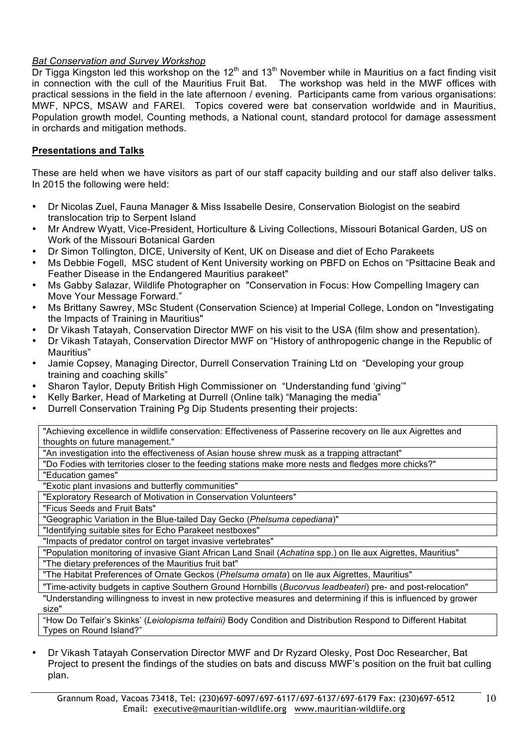#### *Bat Conservation and Survey Workshop*

Dr Tigga Kingston led this workshop on the 12<sup>th</sup> and 13<sup>th</sup> November while in Mauritius on a fact finding visit in connection with the cull of the Mauritius Fruit Bat. The workshop was held in the MWF offices with practical sessions in the field in the late afternoon / evening. Participants came from various organisations: MWF, NPCS, MSAW and FAREI. Topics covered were bat conservation worldwide and in Mauritius, Population growth model, Counting methods, a National count, standard protocol for damage assessment in orchards and mitigation methods.

## **Presentations and Talks**

These are held when we have visitors as part of our staff capacity building and our staff also deliver talks. In 2015 the following were held:

- Dr Nicolas Zuel, Fauna Manager & Miss Issabelle Desire, Conservation Biologist on the seabird translocation trip to Serpent Island
- Mr Andrew Wyatt, Vice-President, Horticulture & Living Collections, Missouri Botanical Garden, US on Work of the Missouri Botanical Garden
- Dr Simon Tollington, DICE, University of Kent, UK on Disease and diet of Echo Parakeets
- Ms Debbie Fogell, MSC student of Kent University working on PBFD on Echos on "Psittacine Beak and Feather Disease in the Endangered Mauritius parakeet"
- Ms Gabby Salazar, Wildlife Photographer on "Conservation in Focus: How Compelling Imagery can Move Your Message Forward."
- Ms Brittany Sawrey, MSc Student (Conservation Science) at Imperial College, London on "Investigating the Impacts of Training in Mauritius"
- Dr Vikash Tatayah, Conservation Director MWF on his visit to the USA (film show and presentation).
- Dr Vikash Tatayah, Conservation Director MWF on "History of anthropogenic change in the Republic of Mauritius"
- Jamie Copsey, Managing Director, Durrell Conservation Training Ltd on "Developing your group training and coaching skills"
- Sharon Taylor, Deputy British High Commissioner on "Understanding fund 'giving'"
- Kelly Barker, Head of Marketing at Durrell (Online talk) "Managing the media"
- Durrell Conservation Training Pg Dip Students presenting their projects:

"Achieving excellence in wildlife conservation: Effectiveness of Passerine recovery on Ile aux Aigrettes and thoughts on future management."

"An investigation into the effectiveness of Asian house shrew musk as a trapping attractant"

"Do Fodies with territories closer to the feeding stations make more nests and fledges more chicks?"

"Education games"

"Exotic plant invasions and butterfly communities"

"Exploratory Research of Motivation in Conservation Volunteers"

"Ficus Seeds and Fruit Bats"

"Geographic Variation in the Blue-tailed Day Gecko (*Phelsuma cepediana*)"

"Identifying suitable sites for Echo Parakeet nestboxes"

"Impacts of predator control on target invasive vertebrates"

"Population monitoring of invasive Giant African Land Snail (*Achatina* spp.) on Ile aux Aigrettes, Mauritius"

"The dietary preferences of the Mauritius fruit bat"

"The Habitat Preferences of Ornate Geckos (*Phelsuma ornata*) on Ile aux Aigrettes, Mauritius"

"Time-activity budgets in captive Southern Ground Hornbills (*Bucorvus leadbeateri*) pre- and post-relocation"

"Understanding willingness to invest in new protective measures and determining if this is influenced by grower size"

"How Do Telfair's Skinks' (*Leiolopisma telfairii)* Body Condition and Distribution Respond to Different Habitat Types on Round Island?"

• Dr Vikash Tatayah Conservation Director MWF and Dr Ryzard Olesky, Post Doc Researcher, Bat Project to present the findings of the studies on bats and discuss MWF's position on the fruit bat culling plan.